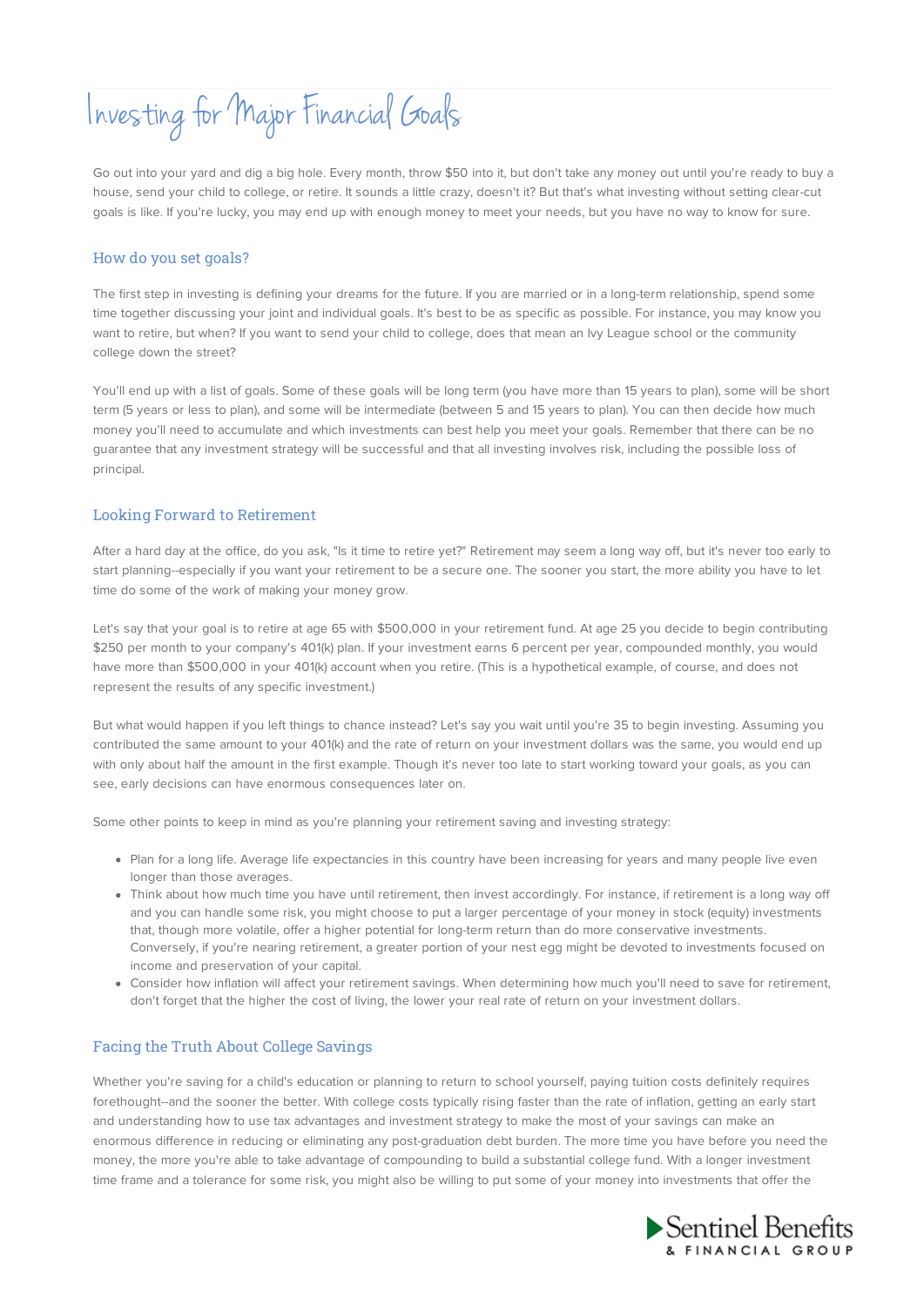# Investing for Major Financial Goals

Go out into your yard and dig a big hole. Every month, throw \$50 into it, but don't take any money out until you're ready to buy a house, send your child to college, or retire. It sounds a little crazy, doesn't it? But that's what investing without setting clear-cut goals is like. If you're lucky, you may end up with enough money to meet your needs, but you have no way to know for sure.

## How do you set goals?

The first step in investing is defining your dreams for the future. If you are married or in a long-term relationship, spend some time together discussing your joint and individual goals. It's best to be as specific as possible. For instance, you may know you want to retire, but when? If you want to send your child to college, does that mean an Ivy League school or the community college down the street?

You'll end up with a list of goals. Some of these goals will be long term (you have more than 15 years to plan), some will be short term (5 years or less to plan), and some will be intermediate (between 5 and 15 years to plan). You can then decide how much money you'll need to accumulate and which investments can best help you meet your goals. Remember that there can be no guarantee that any investment strategy will be successful and that all investing involves risk, including the possible loss of principal.

### Looking Forward to Retirement

After a hard day at the office, do you ask, "Is it time to retire yet?" Retirement may seem a long way off, but it's never too early to start planning--especially if you want your retirement to be a secure one. The sooner you start, the more ability you have to let time do some of the work of making your money grow.

Let's say that your goal is to retire at age 65 with \$500,000 in your retirement fund. At age 25 you decide to begin contributing \$250 per month to your company's 401(k) plan. If your investment earns 6 percent per year, compounded monthly, you would have more than \$500,000 in your 401(k) account when you retire. (This is a hypothetical example, of course, and does not represent the results of any specific investment.)

But what would happen if you left things to chance instead? Let's say you wait until you're 35 to begin investing. Assuming you contributed the same amount to your 401(k) and the rate of return on your investment dollars was the same, you would end up with only about half the amount in the first example. Though it's never too late to start working toward your goals, as you can see, early decisions can have enormous consequences later on.

Some other points to keep in mind as you're planning your retirement saving and investing strategy:

- Plan for a long life. Average life expectancies in this country have been increasing for years and many people live even longer than those averages.
- Think about how much time you have until retirement, then invest accordingly. For instance, if retirement is a long way off and you can handle some risk, you might choose to put a larger percentage of your money in stock (equity) investments that, though more volatile, offer a higher potential for long-term return than do more conservative investments. Conversely, if you're nearing retirement, a greater portion of your nest egg might be devoted to investments focused on income and preservation of your capital.
- Consider how inflation will affect your retirement savings. When determining how much you'll need to save for retirement, don't forget that the higher the cost of living, the lower your real rate of return on your investment dollars.

### Facing the Truth About College Savings

Whether you're saving for a child's education or planning to return to school yourself, paying tuition costs definitely requires forethought--and the sooner the better. With college costs typically rising faster than the rate of inflation, getting an early start and understanding how to use tax advantages and investment strategy to make the most of your savings can make an enormous difference in reducing or eliminating any post-graduation debt burden. The more time you have before you need the money, the more you're able to take advantage of compounding to build a substantial college fund. With a longer investment time frame and a tolerance for some risk, you might also be willing to put some of your money into investments that offer the